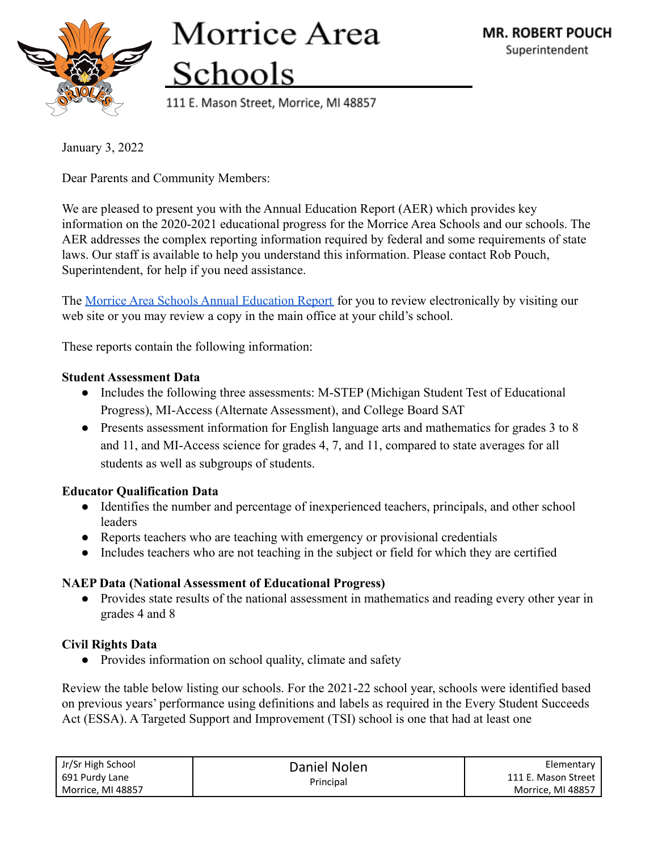

# Morrice Area Schools

111 E. Mason Street, Morrice, MI 48857

January 3, 2022

Dear Parents and Community Members:

We are pleased to present you with the Annual Education Report (AER) which provides key information on the 2020-2021 educational progress for the Morrice Area Schools and our schools. The AER addresses the complex reporting information required by federal and some requirements of state laws. Our staff is available to help you understand this information. Please contact Rob Pouch, Superintendent, for help if you need assistance.

The [Morrice Area Schools Annual Education Report](https://drive.google.com/file/d/15lc92ZAxyRA-zrEgQGcBwKy8nFjxbzmh/view?usp=sharing) for you to review electronically by visiting our web site or you may review a copy in the main office at your child's school.

These reports contain the following information:

### **Student Assessment Data**

- Includes the following three assessments: M-STEP (Michigan Student Test of Educational Progress), MI-Access (Alternate Assessment), and College Board SAT
- Presents assessment information for English language arts and mathematics for grades 3 to 8 and 11, and MI-Access science for grades 4, 7, and 11, compared to state averages for all students as well as subgroups of students.

## **Educator Qualification Data**

- Identifies the number and percentage of inexperienced teachers, principals, and other school leaders
- Reports teachers who are teaching with emergency or provisional credentials
- Includes teachers who are not teaching in the subject or field for which they are certified

## **NAEP Data (National Assessment of Educational Progress)**

• Provides state results of the national assessment in mathematics and reading every other year in grades 4 and 8

## **Civil Rights Data**

• Provides information on school quality, climate and safety

Review the table below listing our schools. For the 2021-22 school year, schools were identified based on previous years' performance using definitions and labels as required in the Every Student Succeeds Act (ESSA). A Targeted Support and Improvement (TSI) school is one that had at least one

| Jr/Sr High School | Daniel Nolen<br>Principal | Elementary          |
|-------------------|---------------------------|---------------------|
| 691 Purdy Lane    |                           | 111 E. Mason Street |
| Morrice, MI 48857 |                           | Morrice, MI 48857   |